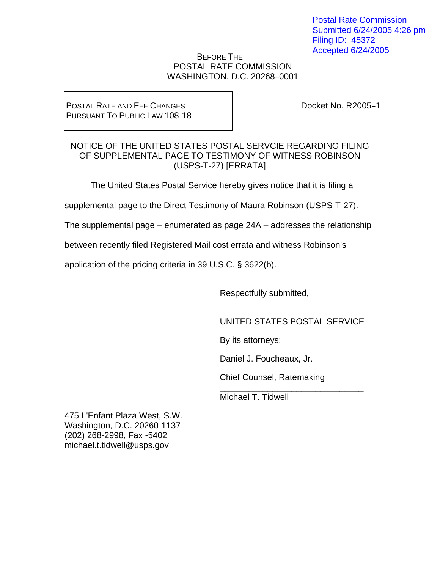Postal Rate Commission Submitted 6/24/2005 4:26 pm Filing ID: 45372 Accepted 6/24/2005

## BEFORE THE POSTAL RATE COMMISSION WASHINGTON, D.C. 20268-0001

## POSTAL RATE AND FEE CHANGES PURSUANT TO PUBLIC LAW 108-18

Docket No. R2005-1

## NOTICE OF THE UNITED STATES POSTAL SERVCIE REGARDING FILING OF SUPPLEMENTAL PAGE TO TESTIMONY OF WITNESS ROBINSON (USPS-T-27) [ERRATA]

The United States Postal Service hereby gives notice that it is filing a

supplemental page to the Direct Testimony of Maura Robinson (USPS-T-27).

The supplemental page – enumerated as page 24A – addresses the relationship

between recently filed Registered Mail cost errata and witness Robinson's

application of the pricing criteria in 39 U.S.C. § 3622(b).

Respectfully submitted,

UNITED STATES POSTAL SERVICE

By its attorneys:

Daniel J. Foucheaux, Jr.

Chief Counsel, Ratemaking

 $\overline{\phantom{a}}$  , and the contract of the contract of the contract of the contract of the contract of the contract of the contract of the contract of the contract of the contract of the contract of the contract of the contrac Michael T. Tidwell

475 L'Enfant Plaza West, S.W. Washington, D.C. 20260-1137 (202) 268-2998, Fax -5402 michael.t.tidwell@usps.gov